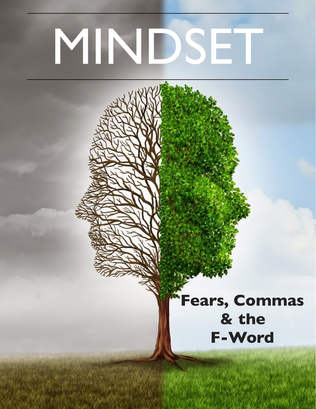# MINDSET

## **Fears, Commas & the F-Word**

Andrick Group,, LLC © 2018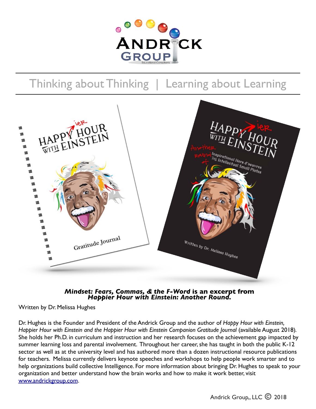

### Thinking about Thinking | Learning about Learning



## *Mindset: Fears, Commas, & the F-Word* **is an excerpt from** *Happier Hour with Einstein: Another Round.*

Written by Dr. Melissa Hughes

Dr. Hughes is the Founder and President of the Andrick Group and the author of *Happy Hour with Einstein, Happier Hour with Einstein and the Happier Hour with Einstein Companion Gratitude Journal* (available August 2018)*.* She holds her Ph.D. in curriculum and instruction and her research focuses on the achievement gap impacted by summer learning loss and parental involvement. Throughout her career, she has taught in both the public K-12 sector as well as at the university level and has authored more than a dozen instructional resource publications for teachers. Melissa currently delivers keynote speeches and workshops to help people work smarter and to help organizations build collective Intelligence. For more information about bringing Dr. Hughes to speak to your organization and better understand how the brain works and how to make it work better, visit [www.andrickgroup.com](http://www.andrickgroup.com).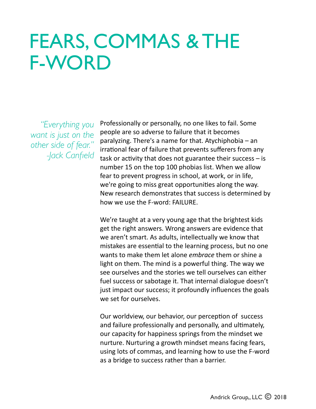# FEARS, COMMAS & THE F-WORD

*"Everything you want is just on the other side of fear." -Jack Canfield* Professionally or personally, no one likes to fail. Some people are so adverse to failure that it becomes paralyzing. There's a name for that. Atychiphobia  $-$  an irrational fear of failure that prevents sufferers from any task or activity that does not guarantee their success  $-$  is number 15 on the top 100 phobias list. When we allow fear to prevent progress in school, at work, or in life, we're going to miss great opportunities along the way. New research demonstrates that success is determined by how we use the F-word: FAILURE.

We're taught at a very young age that the brightest kids get the right answers. Wrong answers are evidence that we aren't smart. As adults, intellectually we know that mistakes are essential to the learning process, but no one wants to make them let alone *embrace* them or shine a light on them. The mind is a powerful thing. The way we see ourselves and the stories we tell ourselves can either fuel success or sabotage it. That internal dialogue doesn't just impact our success; it profoundly influences the goals we set for ourselves.

Our worldview, our behavior, our perception of success and failure professionally and personally, and ultimately, our capacity for happiness springs from the mindset we nurture. Nurturing a growth mindset means facing fears, using lots of commas, and learning how to use the F-word as a bridge to success rather than a barrier.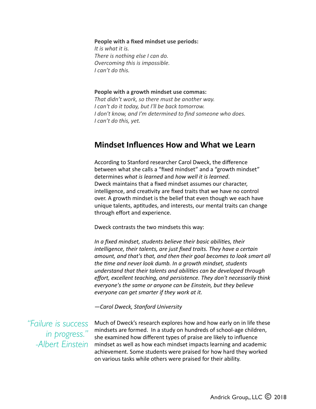#### **People with a fixed mindset use periods:**

It is what it is. *There is nothing else I can do.* **Overcoming this is impossible.** *I* can't do this.

#### **People with a growth mindset use commas:**

That didn't work, so there must be another way. *I* can't do it today, but I'll be back tomorrow. I don't know, and I'm determined to find someone who does. *I* can't do this, yet.

#### **Mindset Influences How and What we Learn**

According to Stanford researcher Carol Dweck, the difference between what she calls a "fixed mindset" and a "growth mindset" determines what is learned and how well it is learned. Dweck maintains that a fixed mindset assumes our character. intelligence, and creativity are fixed traits that we have no control over. A growth mindset is the belief that even though we each have unique talents, aptitudes, and interests, our mental traits can change through effort and experience.

Dweck contrasts the two mindsets this way:

In a fixed mindset, students believe their basic abilities, their *intelligence, their talents, are just fixed traits. They have a certain* amount, and that's that, and then their goal becomes to look smart all *the time and never look dumb. In a growth mindset, students* understand that their talents and abilities can be developed through *effort, excellent teaching, and persistence. They don't necessarily think* everyone's the same or anyone can be Einstein, but they believe everyone can get smarter if they work at it.

*—Carol Dweck, Stanford University*

*"Failure is success in progress." -Albert Einstein* 

Much of Dweck's research explores how and how early on in life these mindsets are formed. In a study on hundreds of school-age children, she examined how different types of praise are likely to influence mindset as well as how each mindset impacts learning and academic achievement. Some students were praised for how hard they worked on various tasks while others were praised for their ability.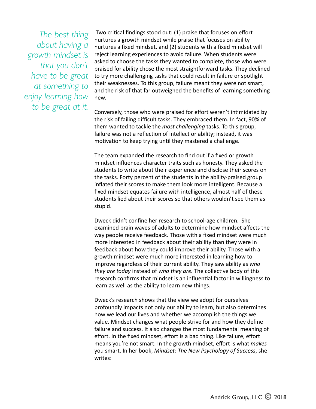*The best thing about having a growth mindset is that you don't have to be great at something to enjoy learning how to be great at it.*

Two critical findings stood out: (1) praise that focuses on effort nurtures a growth mindset while praise that focuses on ability nurtures a fixed mindset, and (2) students with a fixed mindset will reject learning experiences to avoid failure. When students were asked to choose the tasks they wanted to complete, those who were praised for ability chose the most straightforward tasks. They declined to try more challenging tasks that could result in failure or spotlight their weaknesses. To this group, failure meant they were not smart, and the risk of that far outweighed the benefits of learning something new. 

Conversely, those who were praised for effort weren't intimidated by the risk of failing difficult tasks. They embraced them. In fact, 90% of them wanted to tackle the *most challenging* tasks. To this group, failure was not a reflection of intellect or ability; instead, it was motivation to keep trying until they mastered a challenge.

The team expanded the research to find out if a fixed or growth mindset influences character traits such as honesty. They asked the students to write about their experience and disclose their scores on the tasks. Forty percent of the students in the ability-praised group inflated their scores to make them look more intelligent. Because a fixed mindset equates failure with intelligence, almost half of these students lied about their scores so that others wouldn't see them as stupid. 

Dweck didn't confine her research to school-age children. She examined brain waves of adults to determine how mindset affects the way people receive feedback. Those with a fixed mindset were much more interested in feedback about their ability than they were in feedback about how they could improve their ability. Those with a growth mindset were much more interested in learning how to improve regardless of their current ability. They saw ability as who *they are today* instead of who they are. The collective body of this research confirms that mindset is an influential factor in willingness to learn as well as the ability to learn new things.

Dweck's research shows that the view we adopt for ourselves profoundly impacts not only our ability to learn, but also determines how we lead our lives and whether we accomplish the things we value. Mindset changes what people strive for and how they define failure and success. It also changes the most fundamental meaning of effort. In the fixed mindset, effort is a bad thing. Like failure, effort means you're not smart. In the growth mindset, effort is what *makes* you smart. In her book, *Mindset: The New Psychology of Success*, she writes: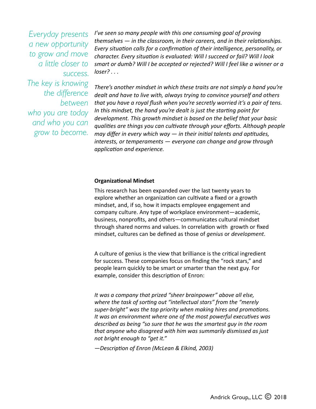*Everyday presents a new opportunity to grow and move a little closer to success. The key is knowing the difference between who you are today and who you can grow to become.*

*I've seen so many people with this one consuming goal of proving themselves* — *in the classroom, in their careers, and in their relationships. Every situation calls for a confirmation of their intelligence, personality, or character.* Every situation is evaluated: Will I succeed or fail? Will I look smart or dumb? Will I be accepted or rejected? Will I feel like a winner or a *loser?* . . .

There's another mindset in which these traits are not simply a hand you're *dealt and have to live with, always trying to convince yourself and others that you have a royal flush when you're secretly worried it's a pair of tens.* In this mindset, the hand you're dealt is just the starting point for development. This growth mindset is based on the belief that your basic *qualities are things you can cultivate through your efforts. Although people may differ in every which way* — *in their initial talents and aptitudes,* interests, or temperaments — everyone can change and grow through *application and experience.* 

#### **Organizational Mindset**

This research has been expanded over the last twenty years to explore whether an organization can cultivate a fixed or a growth mindset, and, if so, how it impacts employee engagement and company culture. Any type of workplace environment—academic, business, nonprofits, and others—communicates cultural mindset through shared norms and values. In correlation with growth or fixed mindset, cultures can be defined as those of *genius* or *development*.

A culture of genius is the view that brilliance is the critical ingredient for success. These companies focus on finding the "rock stars," and people learn quickly to be smart or smarter than the next guy. For example, consider this description of Enron:

It was a company that prized "sheer brainpower" above all else, where the task of sorting out "intellectual stars" from the "merely super-bright" was the top priority when making hires and promotions. It was an environment where one of the most powerful executives was described as being "so sure that he was the smartest *guy* in the room that anyone who disagreed with him was summarily dismissed as just not bright enough to "get it."

 $-$ Description of Enron (McLean & Elkind, 2003)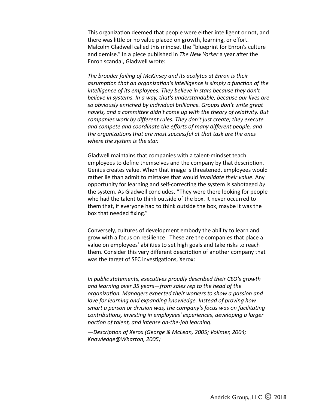This organization deemed that people were either intelligent or not, and there was little or no value placed on growth, learning, or effort. Malcolm Gladwell called this mindset the "blueprint for Enron's culture and demise." In a piece published in *The New Yorker* a year after the Enron scandal, Gladwell wrote:

The broader failing of McKinsey and its acolytes at Enron is their assumption that an organization's intelligence is simply a function of the *intelligence of its employees. They believe in stars because they don't believe in systems. In a way, that's understandable, because our lives are* so obviously enriched by individual brilliance. Groups don't write great novels, and a committee didn't come up with the theory of relativity. But *companies* work by different rules. They don't just create; they execute and compete and coordinate the efforts of many different people, and the organizations that are most successful at that task are the ones where the system is the star.

Gladwell maintains that companies with a talent-mindset teach employees to define themselves and the company by that description. Genius creates value. When that image is threatened, employees would rather lie than admit to mistakes that would *invalidate their value*. Any opportunity for learning and self-correcting the system is sabotaged by the system. As Gladwell concludes, "They were there looking for people who had the talent to think outside of the box. It never occurred to them that, if everyone had to think outside the box, maybe it was the box that needed fixing."

Conversely, cultures of development embody the ability to learn and grow with a focus on resilience. These are the companies that place a value on employees' abilities to set high goals and take risks to reach them. Consider this very different description of another company that was the target of SEC investigations, Xerox:

In public statements, executives proudly described their CEO's growth and learning over 35 years-from sales rep to the head of the *organization.* Managers expected their workers to show a passion and *love for learning and expanding knowledge. Instead of proving how smart a person or division was, the company's focus was on facilitating contributions, investing in employees' experiences, developing a larger* portion of talent, and intense on-the-job learning.

 $-$ Description of Xerox (George & McLean, 2005; Vollmer, 2004; *Knowledge@Wharton, 2005)*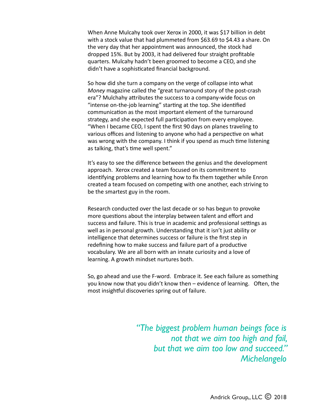When Anne Mulcahy took over Xerox in 2000, it was \$17 billion in debt with a stock value that had plummeted from \$63.69 to \$4.43 a share. On the very day that her appointment was announced, the stock had dropped 15%. But by 2003, it had delivered four straight profitable quarters. Mulcahy hadn't been groomed to become a CEO, and she didn't have a sophisticated financial background.

So how did she turn a company on the verge of collapse into what *Money* magazine called the "great turnaround story of the post-crash era"? Mulchahy attributes the success to a company-wide focus on "intense on-the-job learning" starting at the top. She identified communication as the most important element of the turnaround strategy, and she expected full participation from every employee. "When I became CEO, I spent the first 90 days on planes traveling to various offices and listening to anyone who had a perspective on what was wrong with the company. I think if you spend as much time listening as talking, that's time well spent."

It's easy to see the difference between the genius and the development approach. Xerox created a team focused on its commitment to identifying problems and learning how to fix them together while Enron created a team focused on competing with one another, each striving to be the smartest guy in the room.

Research conducted over the last decade or so has begun to provoke more questions about the interplay between talent and effort and success and failure. This is true in academic and professional settings as well as in personal growth. Understanding that it isn't just ability or intelligence that determines success or failure is the first step in redefining how to make success and failure part of a productive vocabulary. We are all born with an innate curiosity and a love of learning. A growth mindset nurtures both.

So, go ahead and use the F-word. Embrace it. See each failure as something you know now that you didn't know then – evidence of learning. Often, the most insightful discoveries spring out of failure.

> *"The biggest problem human beings face is not that we aim too high and fail, but that we aim too low and succeed." Michelangelo*